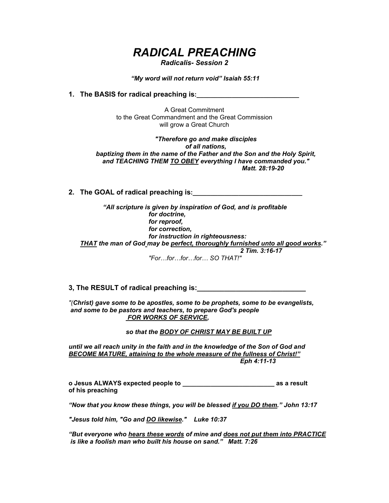# *RADICAL PREACHING*

*Radicalis- Session 2*

 *"My word will not return void" Isaiah 55:11* 

**1. The BASIS for radical preaching is:\_\_\_\_\_\_\_\_\_\_\_\_\_\_\_\_\_\_\_\_\_\_\_\_\_\_\_\_\_**

A Great Commitment to the Great Commandment and the Great Commission will grow a Great Church

*"Therefore go and make disciples of all nations, baptizing them in the name of the Father and the Son and the Holy Spirit, and TEACHING THEM TO OBEY everything I have commanded you." Matt. 28:19-20*

**2. The GOAL of radical preaching is:\_\_\_\_\_\_\_\_\_\_\_\_\_\_\_\_\_\_\_\_\_\_\_\_\_\_\_\_\_\_\_**

*"All scripture is given by inspiration of God, and is profitable for doctrine, for reproof, for correction, for instruction in righteousness: THAT the man of God may be perfect, thoroughly furnished unto all good works." 2 Tim. 3:16-17*

*"For…for…for…for… SO THAT!"*

**3, The RESULT of radical preaching is:\_\_\_\_\_\_\_\_\_\_\_\_\_\_\_\_\_\_\_\_\_\_\_\_\_\_\_\_**

*"(Christ) gave some to be apostles, some to be prophets, some to be evangelists, and some to be pastors and teachers, to prepare God's people FOR WORKS OF SERVICE,* 

 *so that the BODY OF CHRIST MAY BE BUILT UP*

*until we all reach unity in the faith and in the knowledge of the Son of God and BECOME MATURE, attaining to the whole measure of the fullness of Christ!" Eph 4:11-13*

**o Jesus ALWAYS expected people to \_\_\_\_\_\_\_\_\_\_\_\_\_\_\_\_\_\_\_\_\_\_\_\_\_\_ as a result of his preaching**

*"Now that you know these things, you will be blessed if you DO them." John 13:17* 

*"Jesus told him, "Go and DO likewise." Luke 10:37*

*"But everyone who hears these words of mine and does not put them into PRACTICE is like a foolish man who built his house on sand." Matt. 7:26*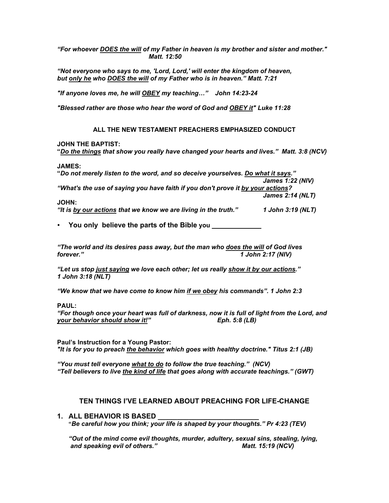*"For whoever DOES the will of my Father in heaven is my brother and sister and mother." Matt. 12:50* 

*"Not everyone who says to me, 'Lord, Lord,' will enter the kingdom of heaven, but only he who DOES the will of my Father who is in heaven." Matt. 7:21*

*"If anyone loves me, he will OBEY my teaching…" John 14:23-24*

*"Blessed rather are those who hear the word of God and OBEY it" Luke 11:28* 

#### **ALL THE NEW TESTAMENT PREACHERS EMPHASIZED CONDUCT**

#### **JOHN THE BAPTIST:**

**"***Do the things that show you really have changed your hearts and lives." Matt. 3:8 (NCV)*

**JAMES:** 

**"***Do not merely listen to the word, and so deceive yourselves. Do what it says."*

*James 1:22 (NIV) "What's the use of saying you have faith if you don't prove it by your actions?*

*James 2:14 (NLT)*

#### **JOHN:**

*"It is by our actions that we know we are living in the truth." 1 John 3:19 (NLT)*

• **You only believe the parts of the Bible you \_\_\_\_\_\_\_\_\_\_\_\_\_\_**

*"The world and its desires pass away, but the man who does the will of God lives forever." 1 John 2:17 (NIV)*

*"Let us stop just saying we love each other; let us really show it by our actions." 1 John 3:18 (NLT)*

*"We know that we have come to know him if we obey his commands". 1 John 2:3*

**PAUL:** 

*"For though once your heart was full of darkness, now it is full of light from the Lord, and your behavior should show it!" Eph. 5:8 (LB)*

**Paul's Instruction for a Young Pastor:** *"It is for you to preach the behavior which goes with healthy doctrine." Titus 2:1 (JB)*

*"You must tell everyone what to do to follow the true teaching." (NCV) "Tell believers to live the kind of life that goes along with accurate teachings." (GWT)*

## **TEN THINGS I'VE LEARNED ABOUT PREACHING FOR LIFE-CHANGE**

## **1. ALL BEHAVIOR IS BASED \_\_\_\_\_\_\_\_\_\_\_\_\_\_\_\_\_\_\_\_\_\_\_\_\_\_**

**"***Be careful how you think; your life is shaped by your thoughts." Pr 4:23 (TEV)* 

*"Out of the mind come evil thoughts, murder, adultery, sexual sins, stealing, lying,* and speaking evil of others." Matt. 15:19 (NCV)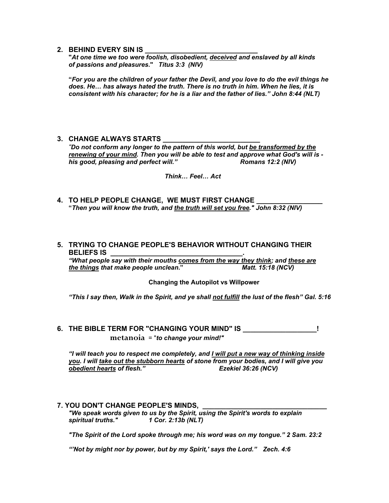#### 2. BEHIND EVERY SIN IS

**"***At one time we too were foolish, disobedient, deceived and enslaved by all kinds of passions and pleasures***."** *Titus 3:3 (NIV)*

 **"***For you are the children of your father the Devil, and you love to do the evil things he does. He… has always hated the truth. There is no truth in him. When he lies, it is consistent with his character; for he is a liar and the father of lies." John 8:44 (NLT)* 

## **3. CHANGE ALWAYS STARTS**

*"Do not conform any longer to the pattern of this world, but be transformed by the renewing of your mind. Then you will be able to test and approve what God's will is his good, pleasing and perfect will." Romans 12:2 (NIV)*

 *Think… Feel… Act*

**4. TO HELP PEOPLE CHANGE. WE MUST FIRST CHANGE "***Then you will know the truth, and the truth will set you free." John 8:32 (NIV)*

## **5. TRYING TO CHANGE PEOPLE'S BEHAVIOR WITHOUT CHANGING THEIR BELIEFS IS \_\_\_\_\_\_\_\_\_\_\_\_\_\_\_\_\_\_\_\_\_\_\_\_\_\_\_\_\_\_\_\_\_\_.**

*"What people say with their mouths comes from the way they think; and these are the things that make people unclean***."** *Matt. 15:18 (NCV)*

#### **Changing the Autopilot vs Willpower**

*"This I say then, Walk in the Spirit, and ye shall not fulfill the lust of the flesh" Gal. 5:16* 

**6. THE BIBLE TERM FOR "CHANGING YOUR MIND" IS \_\_\_\_\_\_\_\_\_\_\_\_\_\_\_\_\_\_\_! metanoia** = "*to change your mind!"*

 *"I will teach you to respect me completely, and I will put a new way of thinking inside you. I will take out the stubborn hearts of stone from your bodies, and I will give you obedient hearts of flesh." Ezekiel 36:26 (NCV)* 

## **7. YOU DON'T CHANGE PEOPLE'S MINDS,**

*"We speak words given to us by the Spirit, using the Spirit's words to explain spiritual truths." 1 Cor. 2:13b (NLT)*

*"The Spirit of the Lord spoke through me; his word was on my tongue." 2 Sam. 23:2*

*"'Not by might nor by power, but by my Spirit,' says the Lord." Zech. 4:6*